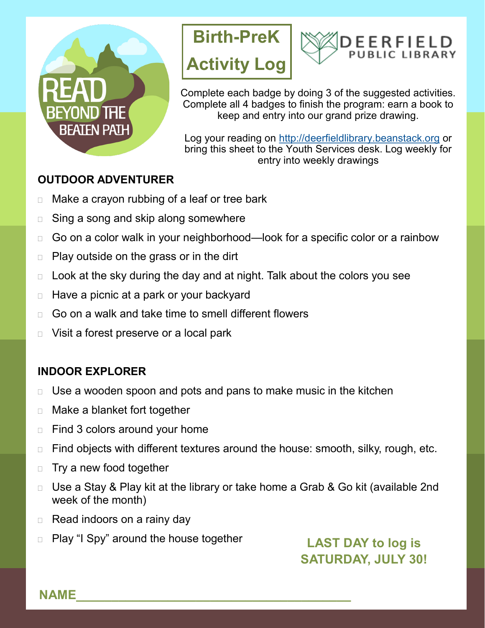





Complete each badge by doing 3 of the suggested activities. Complete all 4 badges to finish the program: earn a book to keep and entry into our grand prize drawing.

Log your reading on<http://deerfieldlibrary.beanstack.org> or bring this sheet to the Youth Services desk. Log weekly for entry into weekly drawings

## **OUTDOOR ADVENTURER**

- □ Make a crayon rubbing of a leaf or tree bark
- □ Sing a song and skip along somewhere
- □ Go on a color walk in your neighborhood—look for a specific color or a rainbow
- $\Box$  Play outside on the grass or in the dirt
- $\Box$  Look at the sky during the day and at night. Talk about the colors you see
- $\Box$  Have a picnic at a park or your backyard
- $\Box$  Go on a walk and take time to smell different flowers
- D Visit a forest preserve or a local park

# **INDOOR EXPLORER**

- $\Box$  Use a wooden spoon and pots and pans to make music in the kitchen
- □ Make a blanket fort together
- $\Box$  Find 3 colors around your home
- $\Box$  Find objects with different textures around the house: smooth, silky, rough, etc.
- $\Box$  Try a new food together
- □ Use a Stay & Play kit at the library or take home a Grab & Go kit (available 2nd week of the month)
- $\Box$  Read indoors on a rainy day
- □ Play "I Spy" around the house together

**LAST DAY to log is SATURDAY, JULY 30!**

**NAME\_\_\_\_\_\_\_\_\_\_\_\_\_\_\_\_\_\_\_\_\_\_\_\_\_\_\_\_\_\_\_\_\_\_\_\_\_\_\_**